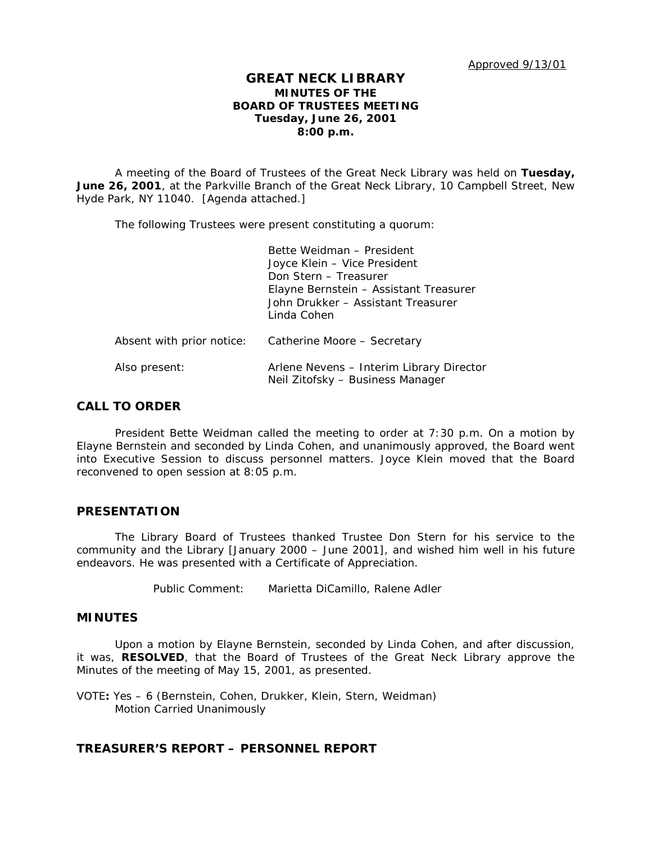# **GREAT NECK LIBRARY MINUTES OF THE BOARD OF TRUSTEES MEETING Tuesday, June 26, 2001 8:00 p.m.**

A meeting of the Board of Trustees of the Great Neck Library was held on **Tuesday, June 26, 2001**, at the Parkville Branch of the Great Neck Library, 10 Campbell Street, New Hyde Park, NY 11040. [Agenda attached.]

The following Trustees were present constituting a quorum:

|                           | Bette Weidman - President<br>Joyce Klein - Vice President<br>Don Stern - Treasurer<br>Elayne Bernstein - Assistant Treasurer<br>John Drukker - Assistant Treasurer<br>Linda Cohen |
|---------------------------|-----------------------------------------------------------------------------------------------------------------------------------------------------------------------------------|
| Absent with prior notice: | Catherine Moore - Secretary                                                                                                                                                       |
| Also present:             | Arlene Nevens - Interim Library Director<br>Neil Zitofsky - Business Manager                                                                                                      |

# **CALL TO ORDER**

President Bette Weidman called the meeting to order at 7:30 p.m. On a motion by Elayne Bernstein and seconded by Linda Cohen, and unanimously approved, the Board went into Executive Session to discuss personnel matters. Joyce Klein moved that the Board reconvened to open session at 8:05 p.m.

## **PRESENTATION**

The Library Board of Trustees thanked Trustee Don Stern for his service to the community and the Library [January 2000 – June 2001], and wished him well in his future endeavors. He was presented with a Certificate of Appreciation.

Public Comment: Marietta DiCamillo, Ralene Adler

# **MINUTES**

Upon a motion by Elayne Bernstein, seconded by Linda Cohen, and after discussion, it was, **RESOLVED**, that the Board of Trustees of the Great Neck Library approve the Minutes of the meeting of May 15, 2001, as presented.

VOTE**:** Yes – 6 (Bernstein, Cohen, Drukker, Klein, Stern, Weidman) *Motion Carried Unanimously*

# **TREASURER'S REPORT – PERSONNEL REPORT**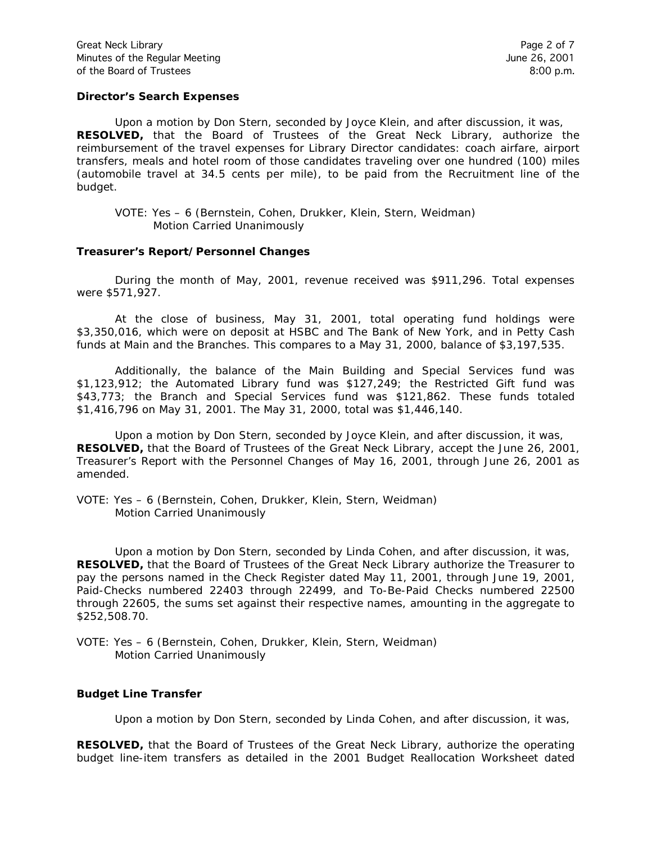### **Director's Search Expenses**

Upon a motion by Don Stern, seconded by Joyce Klein, and after discussion, it was, **RESOLVED,** that the Board of Trustees of the Great Neck Library, authorize the reimbursement of the travel expenses for Library Director candidates: coach airfare, airport transfers, meals and hotel room of those candidates traveling over one hundred (100) miles (automobile travel at 34.5 cents per mile), to be paid from the Recruitment line of the budget.

### **Treasurer's Report/Personnel Changes**

During the month of May, 2001, revenue received was \$911,296. Total expenses were \$571,927.

At the close of business, May 31, 2001, total operating fund holdings were \$3,350,016, which were on deposit at HSBC and The Bank of New York, and in Petty Cash funds at Main and the Branches. This compares to a May 31, 2000, balance of \$3,197,535.

Additionally, the balance of the Main Building and Special Services fund was \$1,123,912; the Automated Library fund was \$127,249; the Restricted Gift fund was \$43,773; the Branch and Special Services fund was \$121,862. These funds totaled \$1,416,796 on May 31, 2001. The May 31, 2000, total was \$1,446,140.

Upon a motion by Don Stern, seconded by Joyce Klein, and after discussion, it was, **RESOLVED,** that the Board of Trustees of the Great Neck Library, accept the June 26, 2001, Treasurer's Report with the Personnel Changes of May 16, 2001, through June 26, 2001 as amended.

VOTE: Yes – 6 (Bernstein, Cohen, Drukker, Klein, Stern, Weidman) *Motion Carried Unanimously*

Upon a motion by Don Stern, seconded by Linda Cohen, and after discussion, it was, **RESOLVED,** that the Board of Trustees of the Great Neck Library authorize the Treasurer to pay the persons named in the Check Register dated May 11, 2001, through June 19, 2001, Paid-Checks numbered 22403 through 22499, and To-Be-Paid Checks numbered 22500 through 22605, the sums set against their respective names, amounting in the aggregate to \$252,508.70.

VOTE: Yes – 6 (Bernstein, Cohen, Drukker, Klein, Stern, Weidman) *Motion Carried Unanimously*

### **Budget Line Transfer**

Upon a motion by Don Stern, seconded by Linda Cohen, and after discussion, it was,

**RESOLVED,** that the Board of Trustees of the Great Neck Library, authorize the operating budget line-item transfers as detailed in the 2001 Budget Reallocation Worksheet dated

VOTE: Yes – 6 (Bernstein, Cohen, Drukker, Klein, Stern, Weidman) *Motion Carried Unanimously*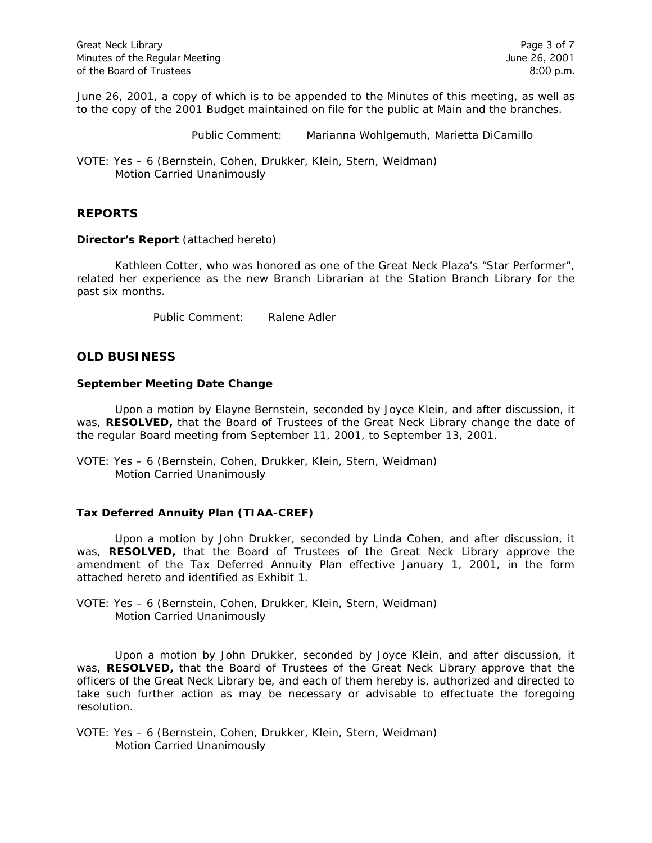June 26, 2001, a copy of which is to be appended to the Minutes of this meeting, as well as to the copy of the 2001 Budget maintained on file for the public at Main and the branches.

Public Comment: Marianna Wohlgemuth, Marietta DiCamillo

VOTE: Yes – 6 (Bernstein, Cohen, Drukker, Klein, Stern, Weidman) *Motion Carried Unanimously*

# **REPORTS**

### **Director's Report** (attached hereto)

Kathleen Cotter, who was honored as one of the Great Neck Plaza's "Star Performer", related her experience as the new Branch Librarian at the Station Branch Library for the past six months.

Public Comment: Ralene Adler

# **OLD BUSINESS**

## **September Meeting Date Change**

Upon a motion by Elayne Bernstein, seconded by Joyce Klein, and after discussion, it was, **RESOLVED,** that the Board of Trustees of the Great Neck Library change the date of the regular Board meeting from September 11, 2001, to September 13, 2001.

VOTE: Yes – 6 (Bernstein, Cohen, Drukker, Klein, Stern, Weidman) *Motion Carried Unanimously*

## **Tax Deferred Annuity Plan (TIAA-CREF)**

Upon a motion by John Drukker, seconded by Linda Cohen, and after discussion, it was, **RESOLVED,** that the Board of Trustees of the Great Neck Library approve the amendment of the Tax Deferred Annuity Plan effective January 1, 2001, in the form attached hereto and identified as Exhibit 1.

VOTE: Yes – 6 (Bernstein, Cohen, Drukker, Klein, Stern, Weidman) *Motion Carried Unanimously*

Upon a motion by John Drukker, seconded by Joyce Klein, and after discussion, it was, **RESOLVED,** that the Board of Trustees of the Great Neck Library approve that the officers of the Great Neck Library be, and each of them hereby is, authorized and directed to take such further action as may be necessary or advisable to effectuate the foregoing resolution.

VOTE: Yes – 6 (Bernstein, Cohen, Drukker, Klein, Stern, Weidman) *Motion Carried Unanimously*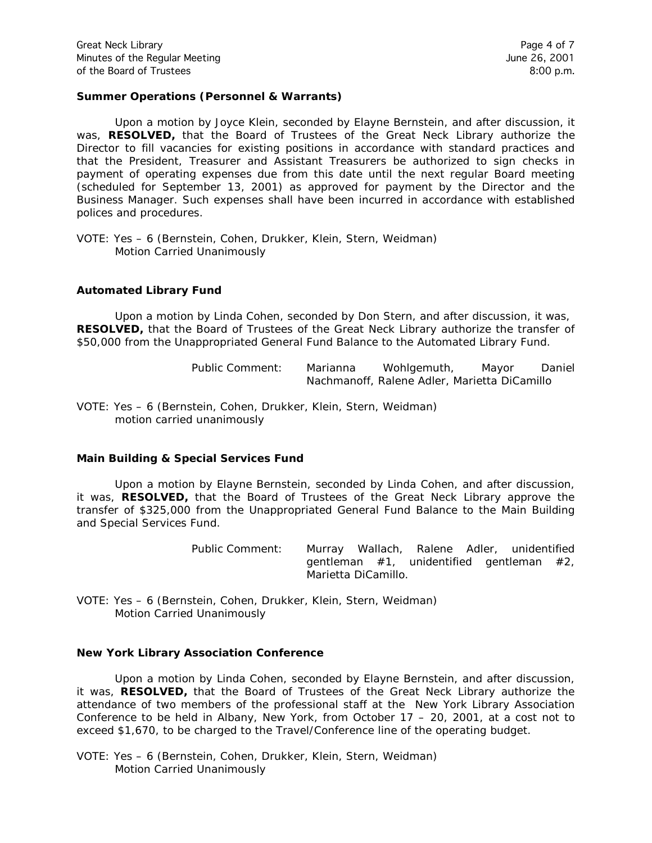## **Summer Operations (Personnel & Warrants)**

Upon a motion by Joyce Klein, seconded by Elayne Bernstein, and after discussion, it was, **RESOLVED,** that the Board of Trustees of the Great Neck Library authorize the Director to fill vacancies for existing positions in accordance with standard practices and that the President, Treasurer and Assistant Treasurers be authorized to sign checks in payment of operating expenses due from this date until the next regular Board meeting (scheduled for September 13, 2001) as approved for payment by the Director and the Business Manager. Such expenses shall have been incurred in accordance with established polices and procedures.

VOTE: Yes – 6 (Bernstein, Cohen, Drukker, Klein, Stern, Weidman) *Motion Carried Unanimously*

## **Automated Library Fund**

Upon a motion by Linda Cohen, seconded by Don Stern, and after discussion, it was, **RESOLVED,** that the Board of Trustees of the Great Neck Library authorize the transfer of \$50,000 from the Unappropriated General Fund Balance to the Automated Library Fund.

> Public Comment: Marianna Wohlgemuth, Mayor Daniel Nachmanoff, Ralene Adler, Marietta DiCamillo

VOTE: Yes – 6 (Bernstein, Cohen, Drukker, Klein, Stern, Weidman) *motion carried unanimously*

### **Main Building & Special Services Fund**

Upon a motion by Elayne Bernstein, seconded by Linda Cohen, and after discussion, it was, **RESOLVED,** that the Board of Trustees of the Great Neck Library approve the transfer of \$325,000 from the Unappropriated General Fund Balance to the Main Building and Special Services Fund.

> Public Comment: Murray Wallach, Ralene Adler, unidentified gentleman  $#1$ , unidentified gentleman  $#2$ , Marietta DiCamillo.

VOTE: Yes – 6 (Bernstein, Cohen, Drukker, Klein, Stern, Weidman) *Motion Carried Unanimously*

### **New York Library Association Conference**

Upon a motion by Linda Cohen, seconded by Elayne Bernstein, and after discussion, it was, **RESOLVED,** that the Board of Trustees of the Great Neck Library authorize the attendance of two members of the professional staff at the New York Library Association Conference to be held in Albany, New York, from October 17 – 20, 2001, at a cost not to exceed \$1,670, to be charged to the Travel/Conference line of the operating budget.

VOTE: Yes – 6 (Bernstein, Cohen, Drukker, Klein, Stern, Weidman) *Motion Carried Unanimously*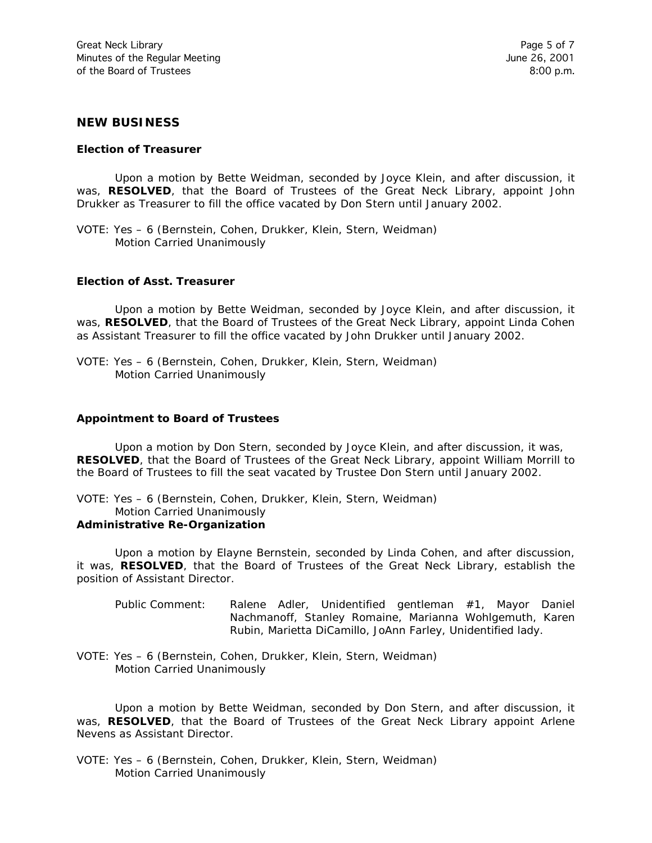## **NEW BUSINESS**

#### **Election of Treasurer**

Upon a motion by Bette Weidman, seconded by Joyce Klein, and after discussion, it was, **RESOLVED**, that the Board of Trustees of the Great Neck Library, appoint John Drukker as Treasurer to fill the office vacated by Don Stern until January 2002.

VOTE: Yes – 6 (Bernstein, Cohen, Drukker, Klein, Stern, Weidman) *Motion Carried Unanimously*

#### **Election of Asst. Treasurer**

Upon a motion by Bette Weidman, seconded by Joyce Klein, and after discussion, it was, **RESOLVED**, that the Board of Trustees of the Great Neck Library, appoint Linda Cohen as Assistant Treasurer to fill the office vacated by John Drukker until January 2002.

VOTE: Yes – 6 (Bernstein, Cohen, Drukker, Klein, Stern, Weidman) *Motion Carried Unanimously*

#### **Appointment to Board of Trustees**

Upon a motion by Don Stern, seconded by Joyce Klein, and after discussion, it was, **RESOLVED**, that the Board of Trustees of the Great Neck Library, appoint William Morrill to the Board of Trustees to fill the seat vacated by Trustee Don Stern until January 2002.

VOTE: Yes – 6 (Bernstein, Cohen, Drukker, Klein, Stern, Weidman)

#### *Motion Carried Unanimously*

#### **Administrative Re-Organization**

Upon a motion by Elayne Bernstein, seconded by Linda Cohen, and after discussion, it was, **RESOLVED**, that the Board of Trustees of the Great Neck Library, establish the position of Assistant Director.

- Public Comment: Ralene Adler, Unidentified gentleman #1, Mayor Daniel Nachmanoff, Stanley Romaine, Marianna Wohlgemuth, Karen Rubin, Marietta DiCamillo, JoAnn Farley, Unidentified lady.
- VOTE: Yes 6 (Bernstein, Cohen, Drukker, Klein, Stern, Weidman) *Motion Carried Unanimously*

Upon a motion by Bette Weidman, seconded by Don Stern, and after discussion, it was, **RESOLVED**, that the Board of Trustees of the Great Neck Library appoint Arlene Nevens as Assistant Director.

VOTE: Yes – 6 (Bernstein, Cohen, Drukker, Klein, Stern, Weidman) *Motion Carried Unanimously*